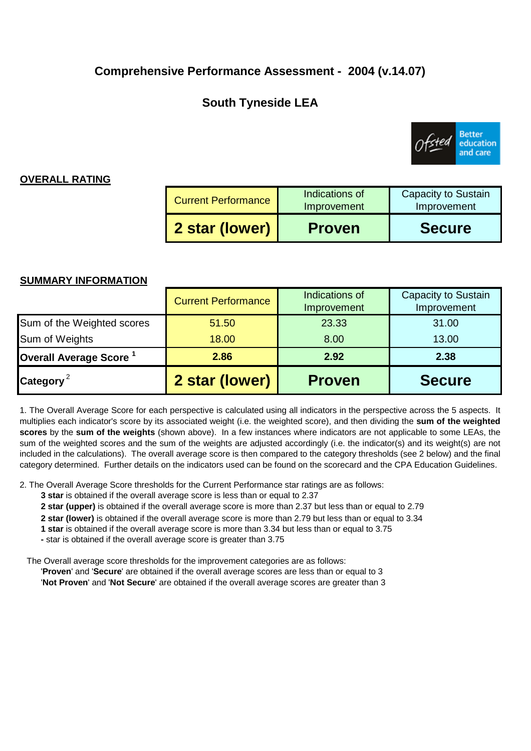## **Comprehensive Performance Assessment - 2004 (v.14.07)**

# **South Tyneside LEA**



## **OVERALL RATING**

| <b>Current Performance</b> | Indications of<br>Improvement | <b>Capacity to Sustain</b><br>Improvement |
|----------------------------|-------------------------------|-------------------------------------------|
| 2 star (lower)             | <b>Proven</b>                 | <b>Secure</b>                             |

### **SUMMARY INFORMATION**

| Sum of the Weighted scores<br>Sum of Weights | 51.50<br>18.00 | 23.33<br>8.00 | 31.00<br>13.00 |
|----------------------------------------------|----------------|---------------|----------------|
| Overall Average Score <sup>1</sup>           | 2.86           | 2.92          | 2.38           |
| Category <sup>2</sup>                        | 2 star (lower) | <b>Proven</b> | <b>Secure</b>  |

1. The Overall Average Score for each perspective is calculated using all indicators in the perspective across the 5 aspects. It multiplies each indicator's score by its associated weight (i.e. the weighted score), and then dividing the **sum of the weighted scores** by the **sum of the weights** (shown above). In a few instances where indicators are not applicable to some LEAs, the sum of the weighted scores and the sum of the weights are adjusted accordingly (i.e. the indicator(s) and its weight(s) are not included in the calculations). The overall average score is then compared to the category thresholds (see 2 below) and the final category determined. Further details on the indicators used can be found on the scorecard and the CPA Education Guidelines.

2. The Overall Average Score thresholds for the Current Performance star ratings are as follows:

- **3 star** is obtained if the overall average score is less than or equal to 2.37
- **2 star (upper)** is obtained if the overall average score is more than 2.37 but less than or equal to 2.79
- **2 star (lower)** is obtained if the overall average score is more than 2.79 but less than or equal to 3.34
- **1 star** is obtained if the overall average score is more than 3.34 but less than or equal to 3.75
- **-** star is obtained if the overall average score is greater than 3.75

The Overall average score thresholds for the improvement categories are as follows:

'**Proven**' and '**Secure**' are obtained if the overall average scores are less than or equal to 3 '**Not Proven**' and '**Not Secure**' are obtained if the overall average scores are greater than 3